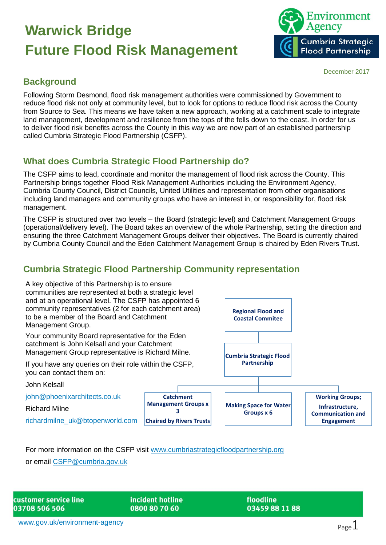

December 2017

### **Background**

Following Storm Desmond, flood risk management authorities were commissioned by Government to reduce flood risk not only at community level, but to look for options to reduce flood risk across the County from Source to Sea. This means we have taken a new approach, working at a catchment scale to integrate land management, development and resilience from the tops of the fells down to the coast. In order for us to deliver flood risk benefits across the County in this way we are now part of an established partnership called Cumbria Strategic Flood Partnership (CSFP).

### **What does Cumbria Strategic Flood Partnership do?**

The CSFP aims to lead, coordinate and monitor the management of flood risk across the County. This Partnership brings together Flood Risk Management Authorities including the Environment Agency, Cumbria County Council, District Councils, United Utilities and representation from other organisations including land managers and community groups who have an interest in, or responsibility for, flood risk management.

The CSFP is structured over two levels – the Board (strategic level) and Catchment Management Groups (operational/delivery level). The Board takes an overview of the whole Partnership, setting the direction and ensuring the three Catchment Management Groups deliver their objectives. The Board is currently chaired by Cumbria County Council and the Eden Catchment Management Group is chaired by Eden Rivers Trust.

### **Cumbria Strategic Flood Partnership Community representation**



For more information on the CSFP visit [www.cumbriastrategicfloodpartnership.org](http://www.cumbriastrategicfloodpartnership.org/)

or email [CSFP@cumbria.gov.uk](mailto:CSFP@cumbria.gov.uk)

customer service line 03708 506 506

incident hotline 0800 80 70 60

floodline 03459881188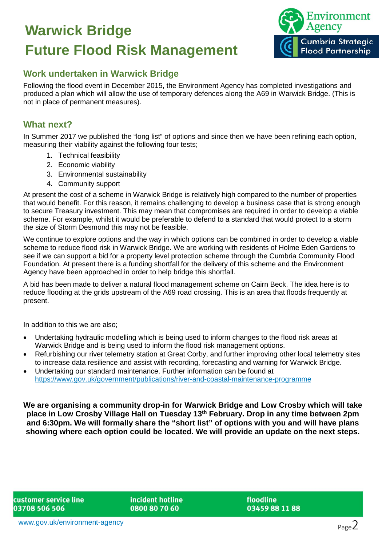

#### **Work undertaken in Warwick Bridge**

Following the flood event in December 2015, the Environment Agency has completed investigations and produced a plan which will allow the use of temporary defences along the A69 in Warwick Bridge. (This is not in place of permanent measures).

#### **What next?**

In Summer 2017 we published the "long list" of options and since then we have been refining each option, measuring their viability against the following four tests;

- 1. Technical feasibility
- 2. Economic viability
- 3. Environmental sustainability
- 4. Community support

At present the cost of a scheme in Warwick Bridge is relatively high compared to the number of properties that would benefit. For this reason, it remains challenging to develop a business case that is strong enough to secure Treasury investment. This may mean that compromises are required in order to develop a viable scheme. For example, whilst it would be preferable to defend to a standard that would protect to a storm the size of Storm Desmond this may not be feasible.

We continue to explore options and the way in which options can be combined in order to develop a viable scheme to reduce flood risk in Warwick Bridge. We are working with residents of Holme Eden Gardens to see if we can support a bid for a property level protection scheme through the Cumbria Community Flood Foundation. At present there is a funding shortfall for the delivery of this scheme and the Environment Agency have been approached in order to help bridge this shortfall.

A bid has been made to deliver a natural flood management scheme on Cairn Beck. The idea here is to reduce flooding at the grids upstream of the A69 road crossing. This is an area that floods frequently at present.

In addition to this we are also;

- Undertaking hydraulic modelling which is being used to inform changes to the flood risk areas at Warwick Bridge and is being used to inform the flood risk management options.
- Refurbishing our river telemetry station at Great Corby, and further improving other local telemetry sites to increase data resilience and assist with recording, forecasting and warning for Warwick Bridge.
- Undertaking our standard maintenance. Further information can be found at <https://www.gov.uk/government/publications/river-and-coastal-maintenance-programme>

**We are organising a community drop-in for Warwick Bridge and Low Crosby which will take place in Low Crosby Village Hall on Tuesday 13th February. Drop in any time between 2pm and 6:30pm. We will formally share the "short list" of options with you and will have plans showing where each option could be located. We will provide an update on the next steps.**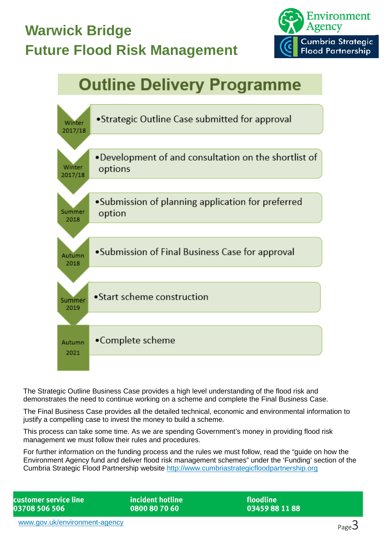

### **Outline Delivery Programme**



The Strategic Outline Business Case provides a high level understanding of the flood risk and demonstrates the need to continue working on a scheme and complete the Final Business Case.

The Final Business Case provides all the detailed technical, economic and environmental information to justify a compelling case to invest the money to build a scheme.

This process can take some time. As we are spending Government's money in providing flood risk management we must follow their rules and procedures.

For further information on the funding process and the rules we must follow, read the "guide on how the Environment Agency fund and deliver flood risk management schemes" under the 'Funding' section of the Cumbria Strategic Flood Partnership website [http://www.cumbriastrategicfloodpartnership.org](http://www.cumbriastrategicfloodpartnership.org/)

customer service line 03708 506 506

incident hotline 0800 80 70 60

floodline 03459881188